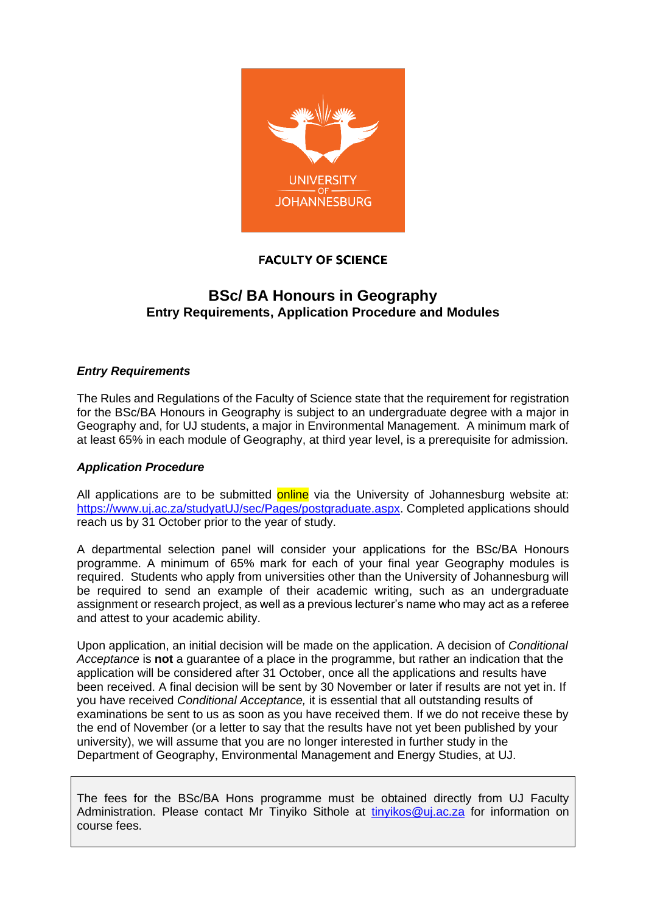

### **FACULTY OF SCIENCE**

## **BSc/ BA Honours in Geography Entry Requirements, Application Procedure and Modules**

#### *Entry Requirements*

The Rules and Regulations of the Faculty of Science state that the requirement for registration for the BSc/BA Honours in Geography is subject to an undergraduate degree with a major in Geography and, for UJ students, a major in Environmental Management. A minimum mark of at least 65% in each module of Geography, at third year level, is a prerequisite for admission.

#### *Application Procedure*

All applications are to be submitted online via the University of Johannesburg website at: [https://www.uj.ac.za/studyatUJ/sec/Pages/postgraduate.aspx.](https://www.uj.ac.za/studyatUJ/sec/Pages/postgraduate.aspx) Completed applications should reach us by 31 October prior to the year of study.

A departmental selection panel will consider your applications for the BSc/BA Honours programme. A minimum of 65% mark for each of your final year Geography modules is required. Students who apply from universities other than the University of Johannesburg will be required to send an example of their academic writing, such as an undergraduate assignment or research project, as well as a previous lecturer's name who may act as a referee and attest to your academic ability.

Upon application, an initial decision will be made on the application. A decision of *Conditional Acceptance* is **not** a guarantee of a place in the programme, but rather an indication that the application will be considered after 31 October, once all the applications and results have been received. A final decision will be sent by 30 November or later if results are not yet in. If you have received *Conditional Acceptance,* it is essential that all outstanding results of examinations be sent to us as soon as you have received them. If we do not receive these by the end of November (or a letter to say that the results have not yet been published by your university), we will assume that you are no longer interested in further study in the Department of Geography, Environmental Management and Energy Studies, at UJ.

The fees for the BSc/BA Hons programme must be obtained directly from UJ Faculty Administration. Please contact Mr Tinyiko Sithole at [tinyikos@uj.ac.za](mailto:tinyikos@uj.ac.za) for information on course fees.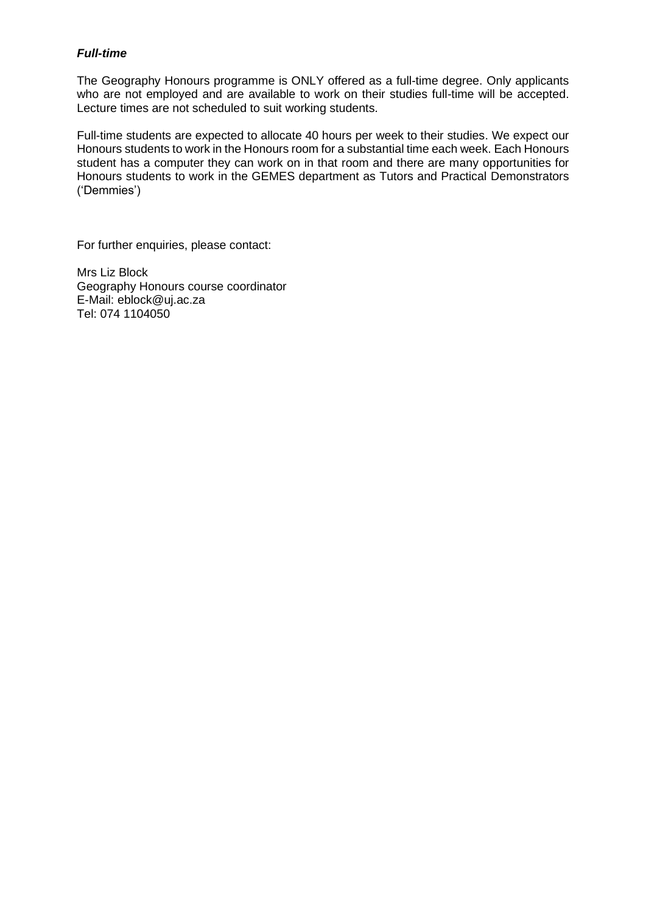#### *Full-time*

The Geography Honours programme is ONLY offered as a full-time degree. Only applicants who are not employed and are available to work on their studies full-time will be accepted. Lecture times are not scheduled to suit working students.

Full-time students are expected to allocate 40 hours per week to their studies. We expect our Honours students to work in the Honours room for a substantial time each week. Each Honours student has a computer they can work on in that room and there are many opportunities for Honours students to work in the GEMES department as Tutors and Practical Demonstrators ('Demmies')

For further enquiries, please contact:

Mrs Liz Block Geography Honours course coordinator E-Mail: eblock@uj.ac.za Tel: 074 1104050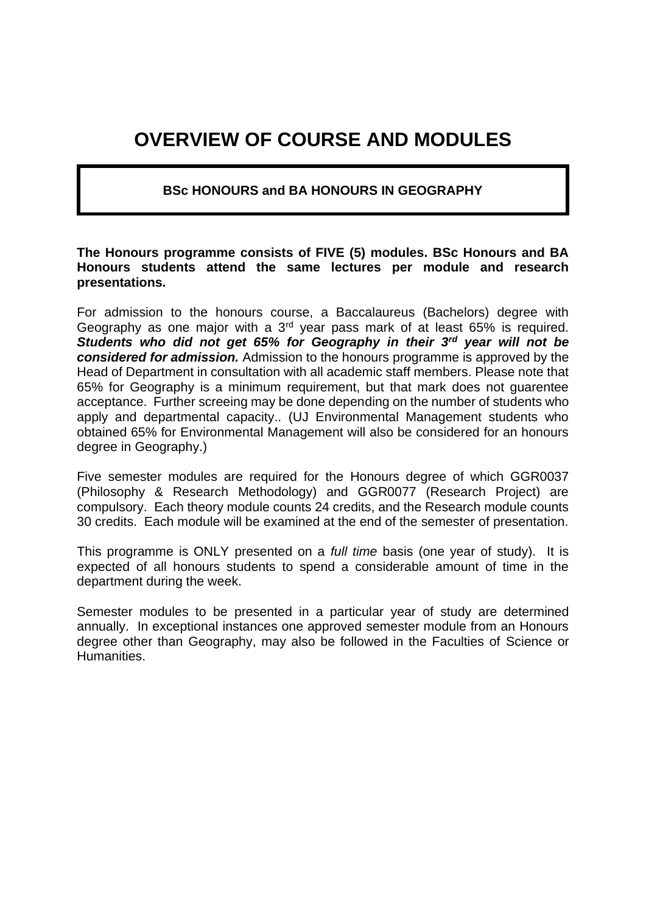# **OVERVIEW OF COURSE AND MODULES**

### **BSc HONOURS and BA HONOURS IN GEOGRAPHY**

#### **The Honours programme consists of FIVE (5) modules. BSc Honours and BA Honours students attend the same lectures per module and research presentations.**

For admission to the honours course, a Baccalaureus (Bachelors) degree with Geography as one major with a  $3<sup>rd</sup>$  year pass mark of at least 65% is required. *Students who did not get 65% for Geography in their 3rd year will not be considered for admission.* Admission to the honours programme is approved by the Head of Department in consultation with all academic staff members. Please note that 65% for Geography is a minimum requirement, but that mark does not guarentee acceptance. Further screeing may be done depending on the number of students who apply and departmental capacity.. (UJ Environmental Management students who obtained 65% for Environmental Management will also be considered for an honours degree in Geography.)

Five semester modules are required for the Honours degree of which GGR0037 (Philosophy & Research Methodology) and GGR0077 (Research Project) are compulsory. Each theory module counts 24 credits, and the Research module counts 30 credits. Each module will be examined at the end of the semester of presentation.

This programme is ONLY presented on a *full time* basis (one year of study). It is expected of all honours students to spend a considerable amount of time in the department during the week.

Semester modules to be presented in a particular year of study are determined annually. In exceptional instances one approved semester module from an Honours degree other than Geography, may also be followed in the Faculties of Science or Humanities.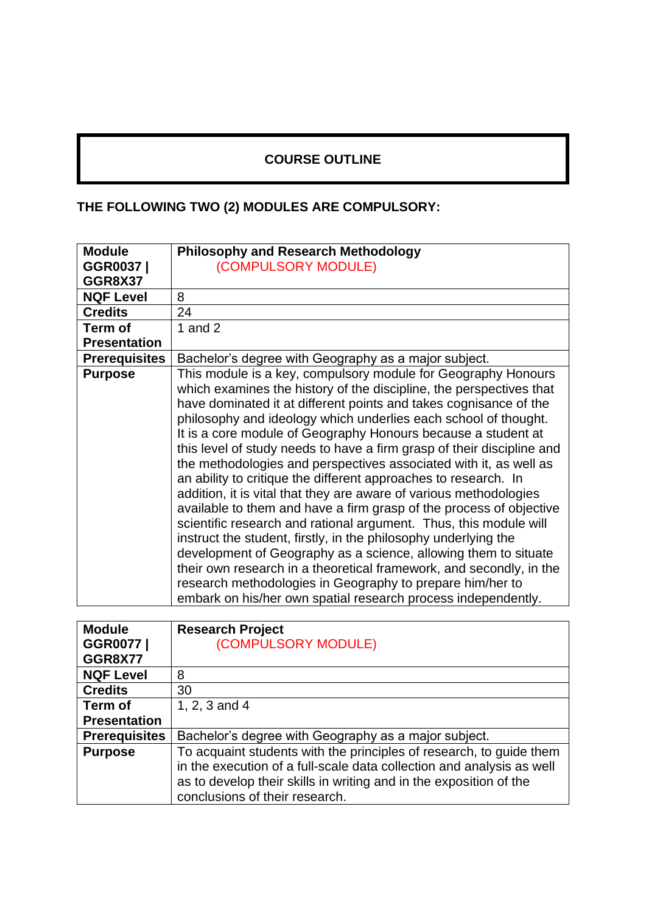## **COURSE OUTLINE**

## **THE FOLLOWING TWO (2) MODULES ARE COMPULSORY:**

| <b>Module</b>        | <b>Philosophy and Research Methodology</b>                                                                                                                                                                                                                                                                                                                                                                                                                                                                                                                                                                                                                                                                                                                                                                                                                                                                                                                                                                                                                                                                                   |
|----------------------|------------------------------------------------------------------------------------------------------------------------------------------------------------------------------------------------------------------------------------------------------------------------------------------------------------------------------------------------------------------------------------------------------------------------------------------------------------------------------------------------------------------------------------------------------------------------------------------------------------------------------------------------------------------------------------------------------------------------------------------------------------------------------------------------------------------------------------------------------------------------------------------------------------------------------------------------------------------------------------------------------------------------------------------------------------------------------------------------------------------------------|
| GGR0037              | (COMPULSORY MODULE)                                                                                                                                                                                                                                                                                                                                                                                                                                                                                                                                                                                                                                                                                                                                                                                                                                                                                                                                                                                                                                                                                                          |
| <b>GGR8X37</b>       |                                                                                                                                                                                                                                                                                                                                                                                                                                                                                                                                                                                                                                                                                                                                                                                                                                                                                                                                                                                                                                                                                                                              |
| <b>NQF Level</b>     | 8                                                                                                                                                                                                                                                                                                                                                                                                                                                                                                                                                                                                                                                                                                                                                                                                                                                                                                                                                                                                                                                                                                                            |
| <b>Credits</b>       | 24                                                                                                                                                                                                                                                                                                                                                                                                                                                                                                                                                                                                                                                                                                                                                                                                                                                                                                                                                                                                                                                                                                                           |
| Term of              | 1 and $2$                                                                                                                                                                                                                                                                                                                                                                                                                                                                                                                                                                                                                                                                                                                                                                                                                                                                                                                                                                                                                                                                                                                    |
| <b>Presentation</b>  |                                                                                                                                                                                                                                                                                                                                                                                                                                                                                                                                                                                                                                                                                                                                                                                                                                                                                                                                                                                                                                                                                                                              |
| <b>Prerequisites</b> | Bachelor's degree with Geography as a major subject.                                                                                                                                                                                                                                                                                                                                                                                                                                                                                                                                                                                                                                                                                                                                                                                                                                                                                                                                                                                                                                                                         |
| <b>Purpose</b>       | This module is a key, compulsory module for Geography Honours<br>which examines the history of the discipline, the perspectives that<br>have dominated it at different points and takes cognisance of the<br>philosophy and ideology which underlies each school of thought.<br>It is a core module of Geography Honours because a student at<br>this level of study needs to have a firm grasp of their discipline and<br>the methodologies and perspectives associated with it, as well as<br>an ability to critique the different approaches to research. In<br>addition, it is vital that they are aware of various methodologies<br>available to them and have a firm grasp of the process of objective<br>scientific research and rational argument. Thus, this module will<br>instruct the student, firstly, in the philosophy underlying the<br>development of Geography as a science, allowing them to situate<br>their own research in a theoretical framework, and secondly, in the<br>research methodologies in Geography to prepare him/her to<br>embark on his/her own spatial research process independently. |

| <b>Module</b>        | <b>Research Project</b>                                               |
|----------------------|-----------------------------------------------------------------------|
| GGR0077              | (COMPULSORY MODULE)                                                   |
| <b>GGR8X77</b>       |                                                                       |
| <b>NQF Level</b>     | 8                                                                     |
| <b>Credits</b>       | 30                                                                    |
| Term of              | 1, 2, 3 and 4                                                         |
| <b>Presentation</b>  |                                                                       |
| <b>Prerequisites</b> | Bachelor's degree with Geography as a major subject.                  |
| <b>Purpose</b>       | To acquaint students with the principles of research, to guide them   |
|                      | in the execution of a full-scale data collection and analysis as well |
|                      | as to develop their skills in writing and in the exposition of the    |
|                      | conclusions of their research.                                        |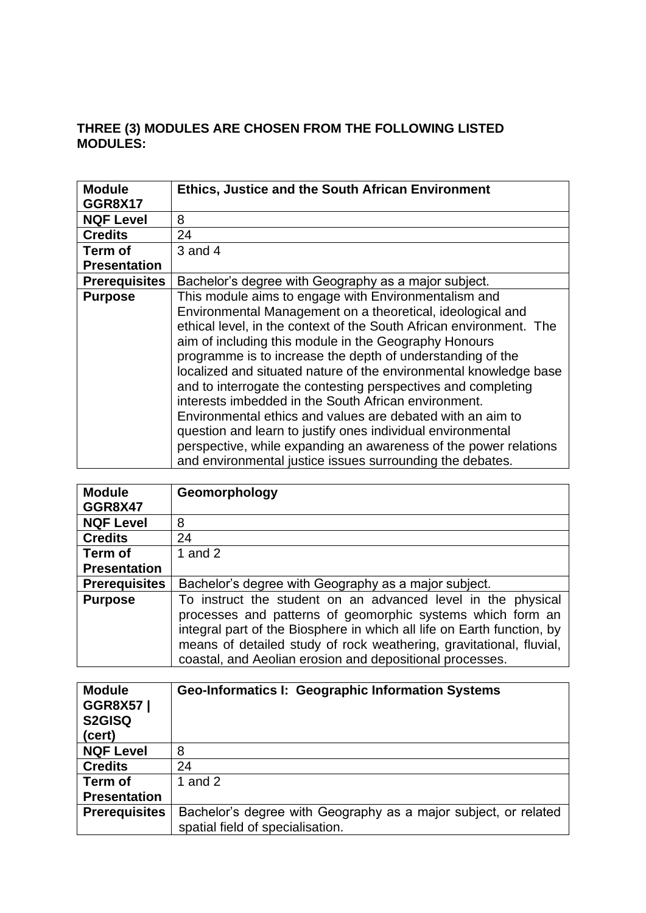## **THREE (3) MODULES ARE CHOSEN FROM THE FOLLOWING LISTED MODULES:**

| <b>Module</b>        | <b>Ethics, Justice and the South African Environment</b>            |
|----------------------|---------------------------------------------------------------------|
| <b>GGR8X17</b>       |                                                                     |
| <b>NQF Level</b>     | 8                                                                   |
| <b>Credits</b>       | 24                                                                  |
| Term of              | $3$ and $4$                                                         |
| <b>Presentation</b>  |                                                                     |
| <b>Prerequisites</b> | Bachelor's degree with Geography as a major subject.                |
| <b>Purpose</b>       | This module aims to engage with Environmentalism and                |
|                      | Environmental Management on a theoretical, ideological and          |
|                      | ethical level, in the context of the South African environment. The |
|                      | aim of including this module in the Geography Honours               |
|                      | programme is to increase the depth of understanding of the          |
|                      | localized and situated nature of the environmental knowledge base   |
|                      | and to interrogate the contesting perspectives and completing       |
|                      | interests imbedded in the South African environment.                |
|                      | Environmental ethics and values are debated with an aim to          |
|                      | question and learn to justify ones individual environmental         |
|                      | perspective, while expanding an awareness of the power relations    |
|                      | and environmental justice issues surrounding the debates.           |

| <b>Module</b>        | Geomorphology                                                                                                                                                                                                                                                                                                                           |
|----------------------|-----------------------------------------------------------------------------------------------------------------------------------------------------------------------------------------------------------------------------------------------------------------------------------------------------------------------------------------|
| <b>GGR8X47</b>       |                                                                                                                                                                                                                                                                                                                                         |
| <b>NQF Level</b>     | 8                                                                                                                                                                                                                                                                                                                                       |
| <b>Credits</b>       | 24                                                                                                                                                                                                                                                                                                                                      |
| Term of              | 1 and $2$                                                                                                                                                                                                                                                                                                                               |
| <b>Presentation</b>  |                                                                                                                                                                                                                                                                                                                                         |
| <b>Prerequisites</b> | Bachelor's degree with Geography as a major subject.                                                                                                                                                                                                                                                                                    |
| <b>Purpose</b>       | To instruct the student on an advanced level in the physical<br>processes and patterns of geomorphic systems which form an<br>integral part of the Biosphere in which all life on Earth function, by<br>means of detailed study of rock weathering, gravitational, fluvial,<br>coastal, and Aeolian erosion and depositional processes. |

| <b>Module</b><br><b>GGR8X57</b><br>S2GISQ<br>(cert) | <b>Geo-Informatics I: Geographic Information Systems</b>                                            |
|-----------------------------------------------------|-----------------------------------------------------------------------------------------------------|
| <b>NQF Level</b>                                    | 8                                                                                                   |
| <b>Credits</b>                                      | 24                                                                                                  |
| Term of                                             | 1 and $2$                                                                                           |
| <b>Presentation</b>                                 |                                                                                                     |
| <b>Prerequisites</b>                                | Bachelor's degree with Geography as a major subject, or related<br>spatial field of specialisation. |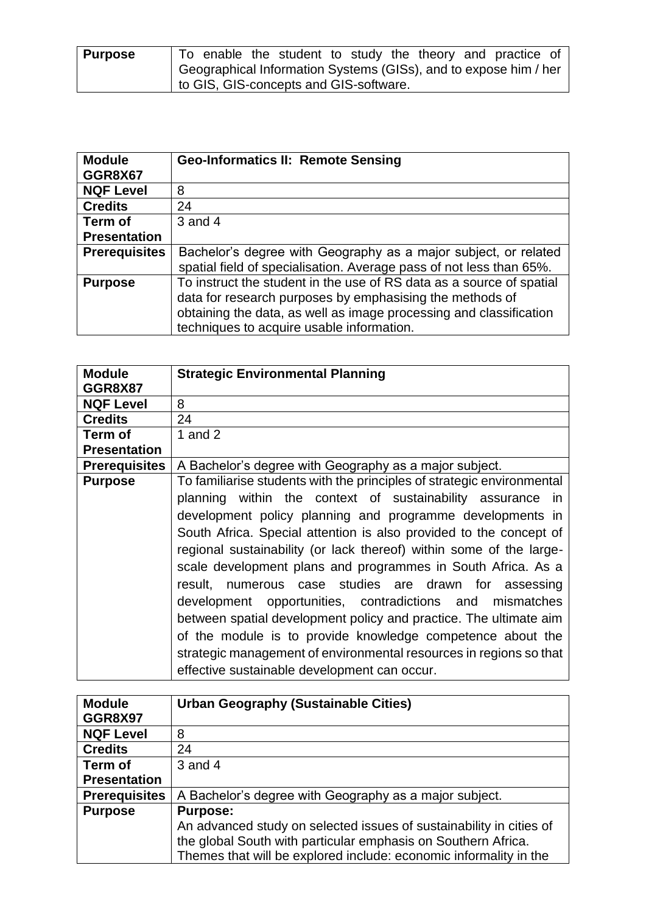| <b>Purpose</b> | To enable the student to study the theory and practice of        |
|----------------|------------------------------------------------------------------|
|                | Geographical Information Systems (GISs), and to expose him / her |
|                | to GIS, GIS-concepts and GIS-software.                           |

| <b>Module</b>        | <b>Geo-Informatics II: Remote Sensing</b>                                                                                                                                                                                                           |
|----------------------|-----------------------------------------------------------------------------------------------------------------------------------------------------------------------------------------------------------------------------------------------------|
| GGR8X67              |                                                                                                                                                                                                                                                     |
| <b>NQF Level</b>     | 8                                                                                                                                                                                                                                                   |
| <b>Credits</b>       | 24                                                                                                                                                                                                                                                  |
| Term of              | $3$ and $4$                                                                                                                                                                                                                                         |
| <b>Presentation</b>  |                                                                                                                                                                                                                                                     |
| <b>Prerequisites</b> | Bachelor's degree with Geography as a major subject, or related<br>spatial field of specialisation. Average pass of not less than 65%.                                                                                                              |
| <b>Purpose</b>       | To instruct the student in the use of RS data as a source of spatial<br>data for research purposes by emphasising the methods of<br>obtaining the data, as well as image processing and classification<br>techniques to acquire usable information. |

| <b>Module</b>        | <b>Strategic Environmental Planning</b>                                |
|----------------------|------------------------------------------------------------------------|
| GGR8X87              |                                                                        |
| <b>NQF Level</b>     | 8                                                                      |
| <b>Credits</b>       | 24                                                                     |
| Term of              | 1 and $2$                                                              |
| <b>Presentation</b>  |                                                                        |
| <b>Prerequisites</b> | A Bachelor's degree with Geography as a major subject.                 |
| <b>Purpose</b>       | To familiarise students with the principles of strategic environmental |
|                      | planning within the context of sustainability assurance in             |
|                      | development policy planning and programme developments in              |
|                      | South Africa. Special attention is also provided to the concept of     |
|                      | regional sustainability (or lack thereof) within some of the large-    |
|                      | scale development plans and programmes in South Africa. As a           |
|                      | numerous case studies are drawn for assessing<br>result.               |
|                      | development opportunities, contradictions and mismatches               |
|                      | between spatial development policy and practice. The ultimate aim      |
|                      | of the module is to provide knowledge competence about the             |
|                      | strategic management of environmental resources in regions so that     |
|                      | effective sustainable development can occur.                           |

| <b>Module</b>        | <b>Urban Geography (Sustainable Cities)</b>                         |
|----------------------|---------------------------------------------------------------------|
| <b>GGR8X97</b>       |                                                                     |
| <b>NQF Level</b>     | 8                                                                   |
| <b>Credits</b>       | 24                                                                  |
| Term of              | $3$ and $4$                                                         |
| <b>Presentation</b>  |                                                                     |
| <b>Prerequisites</b> | A Bachelor's degree with Geography as a major subject.              |
| <b>Purpose</b>       | <b>Purpose:</b>                                                     |
|                      | An advanced study on selected issues of sustainability in cities of |
|                      | the global South with particular emphasis on Southern Africa.       |
|                      | Themes that will be explored include: economic informality in the   |